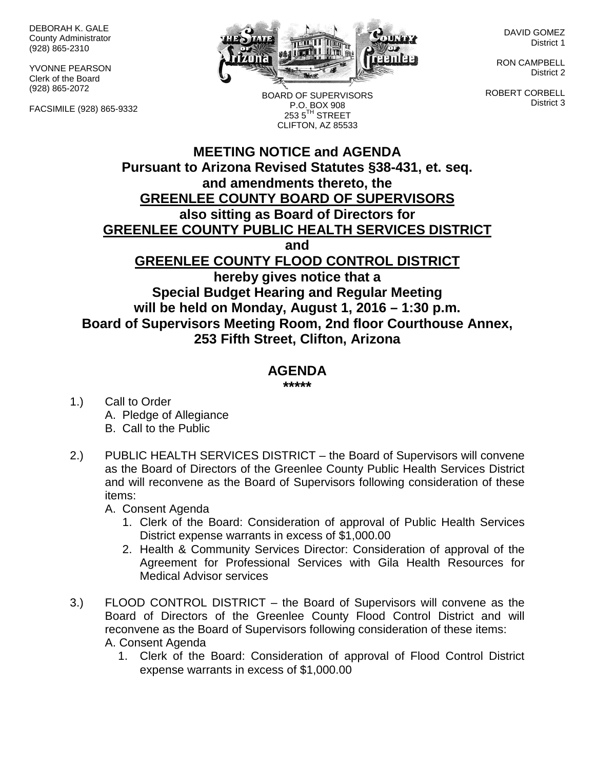DEBORAH K. GALE County Administrator (928) 865-2310

YVONNE PEARSON Clerk of the Board (928) 865-2072

FACSIMILE (928) 865-9332



DAVID GOMEZ District 1

RON CAMPBELL District 2

ROBERT CORBELL District 3

P.O. BOX 908  $2535^{\text{TH}}$  STREET CLIFTON, AZ 85533

BOARD OF SUPERVISORS

## **MEETING NOTICE and AGENDA Pursuant to Arizona Revised Statutes §38-431, et. seq. and amendments thereto, the GREENLEE COUNTY BOARD OF SUPERVISORS also sitting as Board of Directors for GREENLEE COUNTY PUBLIC HEALTH SERVICES DISTRICT and GREENLEE COUNTY FLOOD CONTROL DISTRICT hereby gives notice that a Special Budget Hearing and Regular Meeting will be held on Monday, August 1, 2016 – 1:30 p.m. Board of Supervisors Meeting Room, 2nd floor Courthouse Annex, 253 Fifth Street, Clifton, Arizona**

## **AGENDA**

**\*\*\*\*\***

- 1.) Call to Order A. Pledge of Allegiance B. Call to the Public
- 2.) PUBLIC HEALTH SERVICES DISTRICT the Board of Supervisors will convene as the Board of Directors of the Greenlee County Public Health Services District and will reconvene as the Board of Supervisors following consideration of these items:

A. Consent Agenda

- 1. Clerk of the Board: Consideration of approval of Public Health Services District expense warrants in excess of \$1,000.00
- 2. Health & Community Services Director: Consideration of approval of the Agreement for Professional Services with Gila Health Resources for Medical Advisor services
- 3.) FLOOD CONTROL DISTRICT the Board of Supervisors will convene as the Board of Directors of the Greenlee County Flood Control District and will reconvene as the Board of Supervisors following consideration of these items: A. Consent Agenda
	- 1. Clerk of the Board: Consideration of approval of Flood Control District expense warrants in excess of \$1,000.00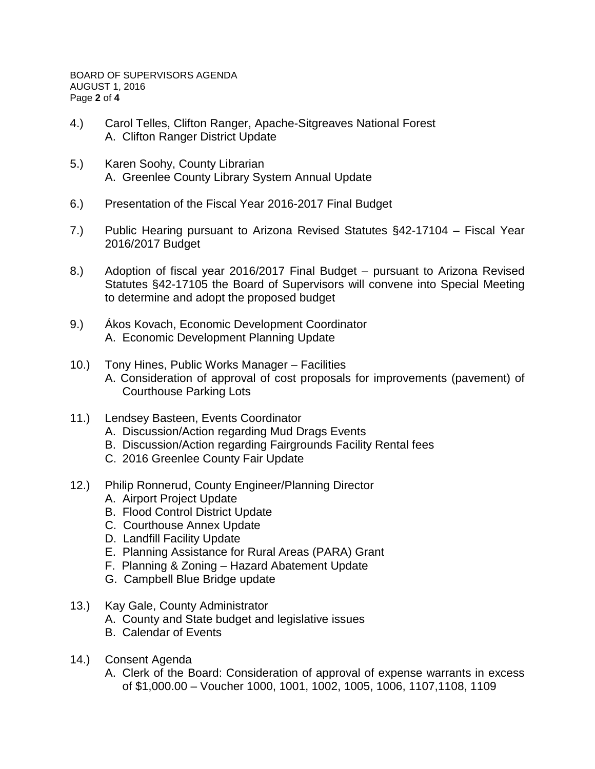- 4.) Carol Telles, Clifton Ranger, Apache-Sitgreaves National Forest A. Clifton Ranger District Update
- 5.) Karen Soohy, County Librarian A. Greenlee County Library System Annual Update
- 6.) Presentation of the Fiscal Year 2016-2017 Final Budget
- 7.) Public Hearing pursuant to Arizona Revised Statutes §42-17104 Fiscal Year 2016/2017 Budget
- 8.) Adoption of fiscal year 2016/2017 Final Budget pursuant to Arizona Revised Statutes §42-17105 the Board of Supervisors will convene into Special Meeting to determine and adopt the proposed budget
- 9.) Ákos Kovach, Economic Development Coordinator A. Economic Development Planning Update
- 10.) Tony Hines, Public Works Manager Facilities A. Consideration of approval of cost proposals for improvements (pavement) of Courthouse Parking Lots
- 11.) Lendsey Basteen, Events Coordinator
	- A. Discussion/Action regarding Mud Drags Events
	- B. Discussion/Action regarding Fairgrounds Facility Rental fees
	- C. 2016 Greenlee County Fair Update
- 12.) Philip Ronnerud, County Engineer/Planning Director
	- A. Airport Project Update
	- B. Flood Control District Update
	- C. Courthouse Annex Update
	- D. Landfill Facility Update
	- E. Planning Assistance for Rural Areas (PARA) Grant
	- F. Planning & Zoning Hazard Abatement Update
	- G. Campbell Blue Bridge update
- 13.) Kay Gale, County Administrator
	- A. County and State budget and legislative issues
	- B. Calendar of Events
- 14.) Consent Agenda
	- A. Clerk of the Board: Consideration of approval of expense warrants in excess of \$1,000.00 – Voucher 1000, 1001, 1002, 1005, 1006, 1107,1108, 1109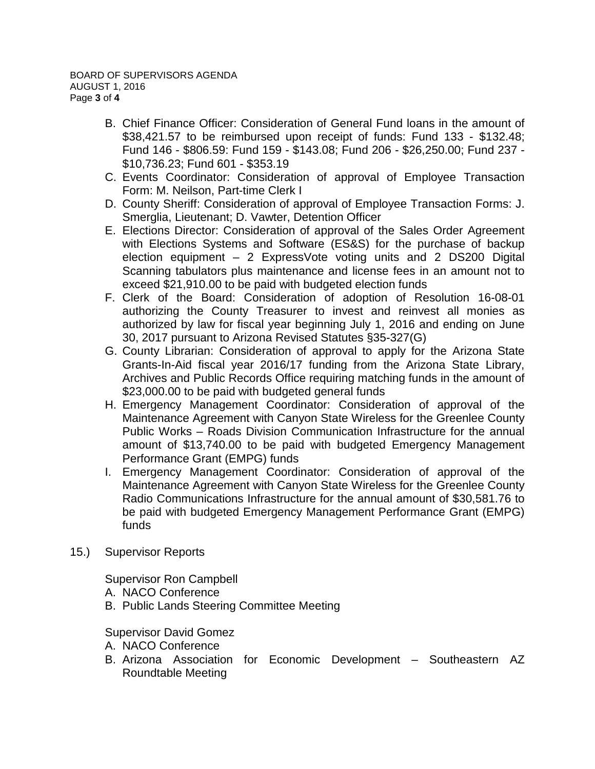- B. Chief Finance Officer: Consideration of General Fund loans in the amount of \$38,421.57 to be reimbursed upon receipt of funds: Fund 133 - \$132.48; Fund 146 - \$806.59: Fund 159 - \$143.08; Fund 206 - \$26,250.00; Fund 237 - \$10,736.23; Fund 601 - \$353.19
- C. Events Coordinator: Consideration of approval of Employee Transaction Form: M. Neilson, Part-time Clerk I
- D. County Sheriff: Consideration of approval of Employee Transaction Forms: J. Smerglia, Lieutenant; D. Vawter, Detention Officer
- E. Elections Director: Consideration of approval of the Sales Order Agreement with Elections Systems and Software (ES&S) for the purchase of backup election equipment – 2 ExpressVote voting units and 2 DS200 Digital Scanning tabulators plus maintenance and license fees in an amount not to exceed \$21,910.00 to be paid with budgeted election funds
- F. Clerk of the Board: Consideration of adoption of Resolution 16-08-01 authorizing the County Treasurer to invest and reinvest all monies as authorized by law for fiscal year beginning July 1, 2016 and ending on June 30, 2017 pursuant to Arizona Revised Statutes §35-327(G)
- G. County Librarian: Consideration of approval to apply for the Arizona State Grants-In-Aid fiscal year 2016/17 funding from the Arizona State Library, Archives and Public Records Office requiring matching funds in the amount of \$23,000.00 to be paid with budgeted general funds
- H. Emergency Management Coordinator: Consideration of approval of the Maintenance Agreement with Canyon State Wireless for the Greenlee County Public Works – Roads Division Communication Infrastructure for the annual amount of \$13,740.00 to be paid with budgeted Emergency Management Performance Grant (EMPG) funds
- I. Emergency Management Coordinator: Consideration of approval of the Maintenance Agreement with Canyon State Wireless for the Greenlee County Radio Communications Infrastructure for the annual amount of \$30,581.76 to be paid with budgeted Emergency Management Performance Grant (EMPG) funds
- 15.) Supervisor Reports

Supervisor Ron Campbell

- A. NACO Conference
- B. Public Lands Steering Committee Meeting

Supervisor David Gomez

- A. NACO Conference
- B. Arizona Association for Economic Development Southeastern AZ Roundtable Meeting